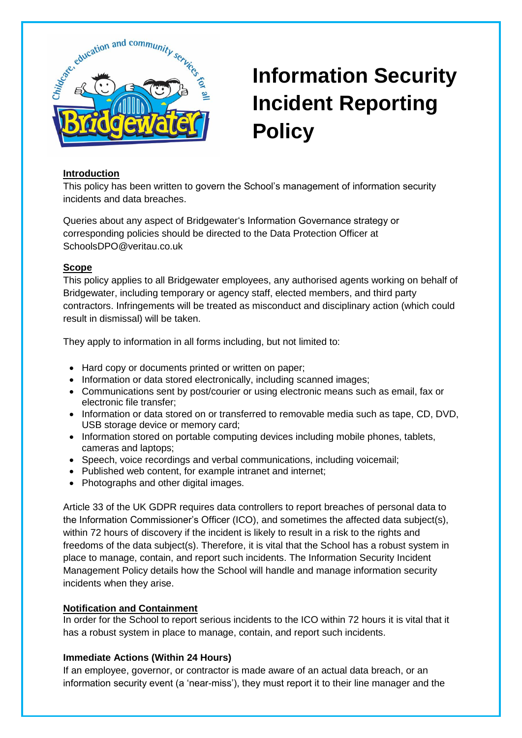

# **Information Security Incident Reporting Policy**

### **Introduction**

This policy has been written to govern the School's management of information security incidents and data breaches.

Queries about any aspect of Bridgewater's Information Governance strategy or corresponding policies should be directed to the Data Protection Officer at SchoolsDPO@veritau.co.uk

### **Scope**

This policy applies to all Bridgewater employees, any authorised agents working on behalf of Bridgewater, including temporary or agency staff, elected members, and third party contractors. Infringements will be treated as misconduct and disciplinary action (which could result in dismissal) will be taken.

They apply to information in all forms including, but not limited to:

- Hard copy or documents printed or written on paper;
- Information or data stored electronically, including scanned images;
- Communications sent by post/courier or using electronic means such as email, fax or electronic file transfer;
- Information or data stored on or transferred to removable media such as tape, CD, DVD, USB storage device or memory card;
- Information stored on portable computing devices including mobile phones, tablets, cameras and laptops;
- Speech, voice recordings and verbal communications, including voicemail;
- Published web content, for example intranet and internet:
- Photographs and other digital images.

Article 33 of the UK GDPR requires data controllers to report breaches of personal data to the Information Commissioner's Officer (ICO), and sometimes the affected data subject(s), within 72 hours of discovery if the incident is likely to result in a risk to the rights and freedoms of the data subject(s). Therefore, it is vital that the School has a robust system in place to manage, contain, and report such incidents. The Information Security Incident Management Policy details how the School will handle and manage information security incidents when they arise.

## **Notification and Containment**

In order for the School to report serious incidents to the ICO within 72 hours it is vital that it has a robust system in place to manage, contain, and report such incidents.

## **Immediate Actions (Within 24 Hours)**

If an employee, governor, or contractor is made aware of an actual data breach, or an information security event (a 'near-miss'), they must report it to their line manager and the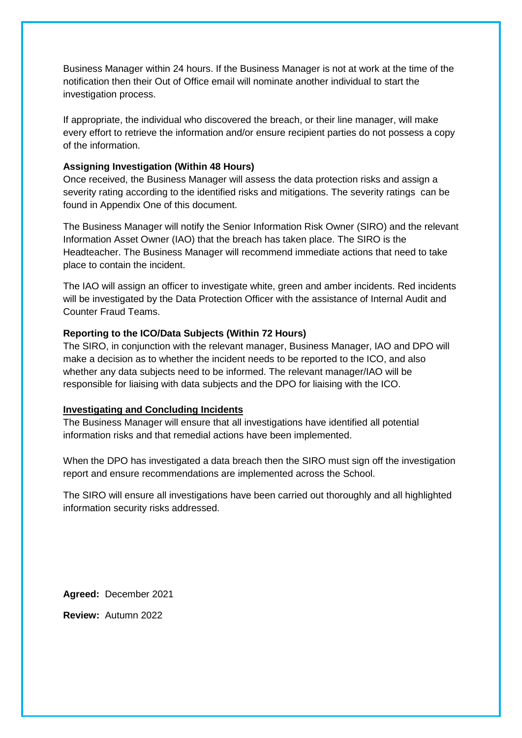Business Manager within 24 hours. If the Business Manager is not at work at the time of the notification then their Out of Office email will nominate another individual to start the investigation process.

If appropriate, the individual who discovered the breach, or their line manager, will make every effort to retrieve the information and/or ensure recipient parties do not possess a copy of the information.

#### **Assigning Investigation (Within 48 Hours)**

Once received, the Business Manager will assess the data protection risks and assign a severity rating according to the identified risks and mitigations. The severity ratings can be found in Appendix One of this document.

The Business Manager will notify the Senior Information Risk Owner (SIRO) and the relevant Information Asset Owner (IAO) that the breach has taken place. The SIRO is the Headteacher. The Business Manager will recommend immediate actions that need to take place to contain the incident.

The IAO will assign an officer to investigate white, green and amber incidents. Red incidents will be investigated by the Data Protection Officer with the assistance of Internal Audit and Counter Fraud Teams.

#### **Reporting to the ICO/Data Subjects (Within 72 Hours)**

The SIRO, in conjunction with the relevant manager, Business Manager, IAO and DPO will make a decision as to whether the incident needs to be reported to the ICO, and also whether any data subjects need to be informed. The relevant manager/IAO will be responsible for liaising with data subjects and the DPO for liaising with the ICO.

#### **Investigating and Concluding Incidents**

The Business Manager will ensure that all investigations have identified all potential information risks and that remedial actions have been implemented.

When the DPO has investigated a data breach then the SIRO must sign off the investigation report and ensure recommendations are implemented across the School.

The SIRO will ensure all investigations have been carried out thoroughly and all highlighted information security risks addressed.

**Agreed:** December 2021

**Review:** Autumn 2022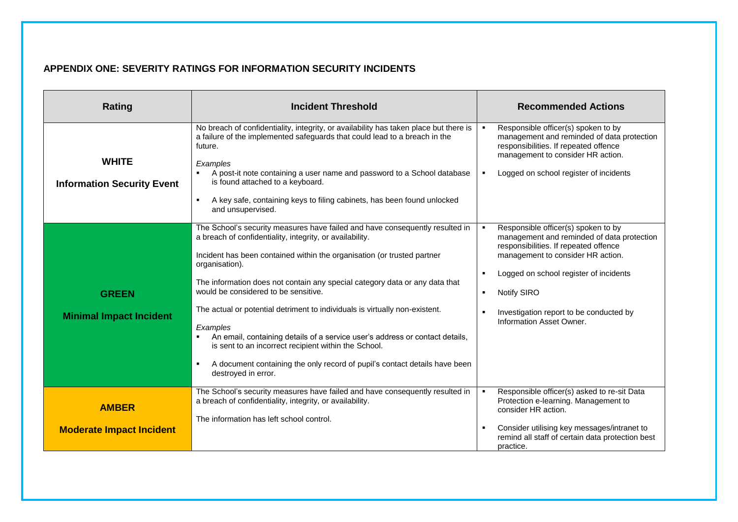## **APPENDIX ONE: SEVERITY RATINGS FOR INFORMATION SECURITY INCIDENTS**

| <b>Rating</b>                                     | <b>Incident Threshold</b>                                                                                                                                                                                                                                                                                                                                                                                                                                                                                                                                                                       | <b>Recommended Actions</b>                                                                                                                                                                                                                                                                      |
|---------------------------------------------------|-------------------------------------------------------------------------------------------------------------------------------------------------------------------------------------------------------------------------------------------------------------------------------------------------------------------------------------------------------------------------------------------------------------------------------------------------------------------------------------------------------------------------------------------------------------------------------------------------|-------------------------------------------------------------------------------------------------------------------------------------------------------------------------------------------------------------------------------------------------------------------------------------------------|
| <b>WHITE</b><br><b>Information Security Event</b> | No breach of confidentiality, integrity, or availability has taken place but there is<br>a failure of the implemented safeguards that could lead to a breach in the<br>future.<br>Examples<br>A post-it note containing a user name and password to a School database<br>is found attached to a keyboard.                                                                                                                                                                                                                                                                                       | Responsible officer(s) spoken to by<br>management and reminded of data protection<br>responsibilities. If repeated offence<br>management to consider HR action.<br>Logged on school register of incidents                                                                                       |
|                                                   | A key safe, containing keys to filing cabinets, has been found unlocked<br>$\blacksquare$<br>and unsupervised.                                                                                                                                                                                                                                                                                                                                                                                                                                                                                  |                                                                                                                                                                                                                                                                                                 |
| <b>GREEN</b><br><b>Minimal Impact Incident</b>    | The School's security measures have failed and have consequently resulted in<br>a breach of confidentiality, integrity, or availability.<br>Incident has been contained within the organisation (or trusted partner<br>organisation).<br>The information does not contain any special category data or any data that<br>would be considered to be sensitive.<br>The actual or potential detriment to individuals is virtually non-existent.<br>Examples<br>An email, containing details of a service user's address or contact details,<br>is sent to an incorrect recipient within the School. | Responsible officer(s) spoken to by<br>management and reminded of data protection<br>responsibilities. If repeated offence<br>management to consider HR action.<br>Logged on school register of incidents<br>Notify SIRO<br>Investigation report to be conducted by<br>Information Asset Owner. |
|                                                   | A document containing the only record of pupil's contact details have been<br>$\blacksquare$<br>destroyed in error.                                                                                                                                                                                                                                                                                                                                                                                                                                                                             |                                                                                                                                                                                                                                                                                                 |
| <b>AMBER</b><br><b>Moderate Impact Incident</b>   | The School's security measures have failed and have consequently resulted in<br>a breach of confidentiality, integrity, or availability.<br>The information has left school control.                                                                                                                                                                                                                                                                                                                                                                                                            | Responsible officer(s) asked to re-sit Data<br>Protection e-learning. Management to<br>consider HR action.<br>Consider utilising key messages/intranet to<br>remind all staff of certain data protection best<br>practice.                                                                      |